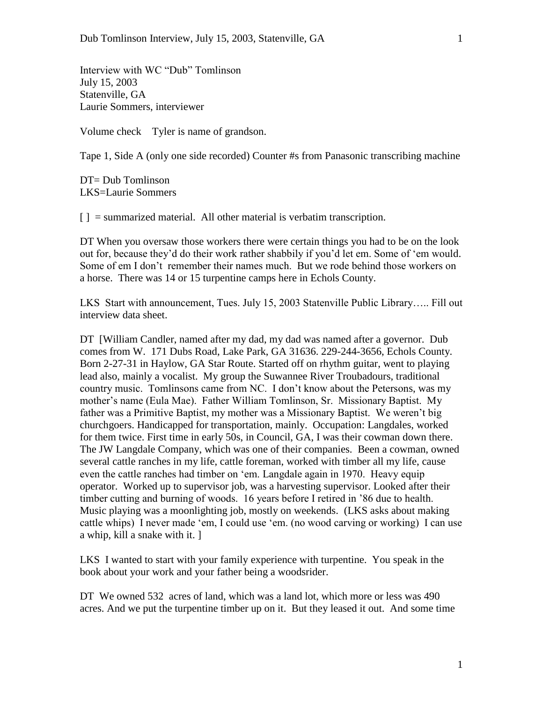Interview with WC "Dub" Tomlinson July 15, 2003 Statenville, GA Laurie Sommers, interviewer

Volume check Tyler is name of grandson.

Tape 1, Side A (only one side recorded) Counter #s from Panasonic transcribing machine

DT= Dub Tomlinson LKS=Laurie Sommers

 $\lceil \cdot \rceil$  = summarized material. All other material is verbatim transcription.

DT When you oversaw those workers there were certain things you had to be on the look out for, because they'd do their work rather shabbily if you'd let em. Some of 'em would. Some of em I don't remember their names much. But we rode behind those workers on a horse. There was 14 or 15 turpentine camps here in Echols County.

LKS Start with announcement, Tues. July 15, 2003 Statenville Public Library….. Fill out interview data sheet.

DT [William Candler, named after my dad, my dad was named after a governor. Dub comes from W. 171 Dubs Road, Lake Park, GA 31636. 229-244-3656, Echols County. Born 2-27-31 in Haylow, GA Star Route. Started off on rhythm guitar, went to playing lead also, mainly a vocalist. My group the Suwannee River Troubadours, traditional country music. Tomlinsons came from NC. I don't know about the Petersons, was my mother's name (Eula Mae). Father William Tomlinson, Sr. Missionary Baptist. My father was a Primitive Baptist, my mother was a Missionary Baptist. We weren't big churchgoers. Handicapped for transportation, mainly. Occupation: Langdales, worked for them twice. First time in early 50s, in Council, GA, I was their cowman down there. The JW Langdale Company, which was one of their companies. Been a cowman, owned several cattle ranches in my life, cattle foreman, worked with timber all my life, cause even the cattle ranches had timber on 'em. Langdale again in 1970. Heavy equip operator. Worked up to supervisor job, was a harvesting supervisor. Looked after their timber cutting and burning of woods. 16 years before I retired in '86 due to health. Music playing was a moonlighting job, mostly on weekends. (LKS asks about making cattle whips) I never made 'em, I could use 'em. (no wood carving or working) I can use a whip, kill a snake with it. ]

LKS I wanted to start with your family experience with turpentine. You speak in the book about your work and your father being a woodsrider.

DT We owned 532 acres of land, which was a land lot, which more or less was 490 acres. And we put the turpentine timber up on it. But they leased it out. And some time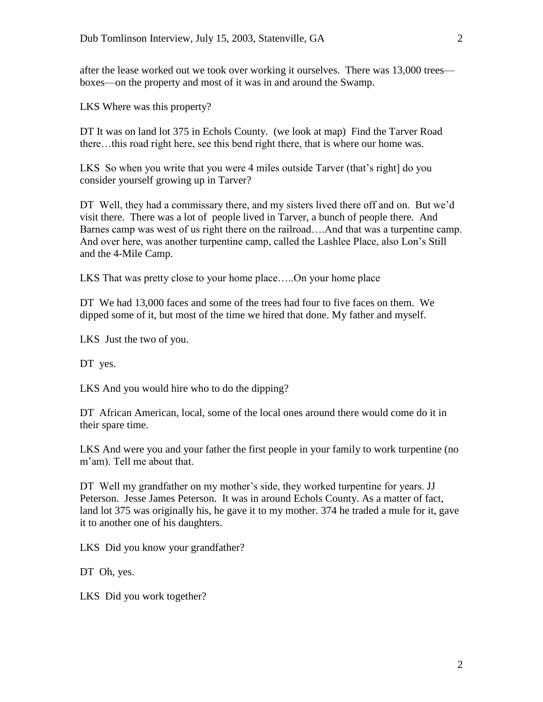after the lease worked out we took over working it ourselves. There was 13,000 trees boxes—on the property and most of it was in and around the Swamp.

LKS Where was this property?

DT It was on land lot 375 in Echols County. (we look at map) Find the Tarver Road there…this road right here, see this bend right there, that is where our home was.

LKS So when you write that you were 4 miles outside Tarver (that's right] do you consider yourself growing up in Tarver?

DT Well, they had a commissary there, and my sisters lived there off and on. But we'd visit there. There was a lot of people lived in Tarver, a bunch of people there. And Barnes camp was west of us right there on the railroad….And that was a turpentine camp. And over here, was another turpentine camp, called the Lashlee Place, also Lon's Still and the 4-Mile Camp.

LKS That was pretty close to your home place…..On your home place

DT We had 13,000 faces and some of the trees had four to five faces on them. We dipped some of it, but most of the time we hired that done. My father and myself.

LKS Just the two of you.

DT yes.

LKS And you would hire who to do the dipping?

DT African American, local, some of the local ones around there would come do it in their spare time.

LKS And were you and your father the first people in your family to work turpentine (no m'am). Tell me about that.

DT Well my grandfather on my mother's side, they worked turpentine for years. JJ Peterson. Jesse James Peterson. It was in around Echols County. As a matter of fact, land lot 375 was originally his, he gave it to my mother. 374 he traded a mule for it, gave it to another one of his daughters.

LKS Did you know your grandfather?

DT Oh, yes.

LKS Did you work together?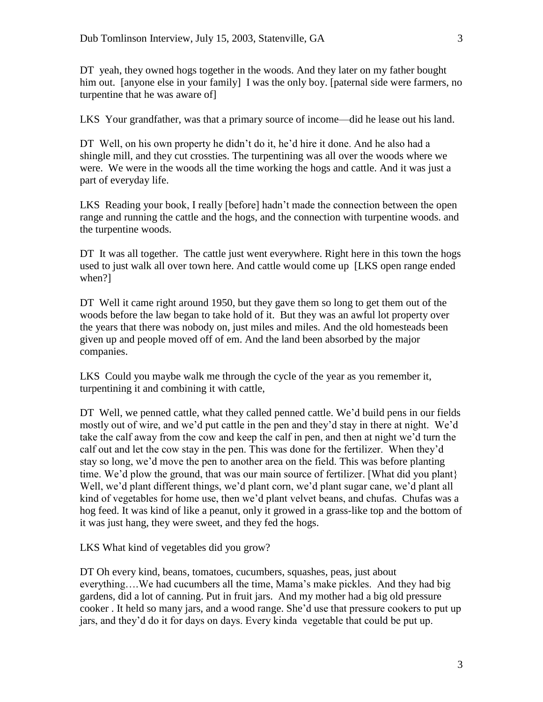DT yeah, they owned hogs together in the woods. And they later on my father bought him out. [anyone else in your family] I was the only boy. [paternal side were farmers, no turpentine that he was aware of]

LKS Your grandfather, was that a primary source of income—did he lease out his land.

DT Well, on his own property he didn't do it, he'd hire it done. And he also had a shingle mill, and they cut crossties. The turpentining was all over the woods where we were. We were in the woods all the time working the hogs and cattle. And it was just a part of everyday life.

LKS Reading your book, I really [before] hadn't made the connection between the open range and running the cattle and the hogs, and the connection with turpentine woods. and the turpentine woods.

DT It was all together. The cattle just went everywhere. Right here in this town the hogs used to just walk all over town here. And cattle would come up [LKS open range ended when?]

DT Well it came right around 1950, but they gave them so long to get them out of the woods before the law began to take hold of it. But they was an awful lot property over the years that there was nobody on, just miles and miles. And the old homesteads been given up and people moved off of em. And the land been absorbed by the major companies.

LKS Could you maybe walk me through the cycle of the year as you remember it, turpentining it and combining it with cattle,

DT Well, we penned cattle, what they called penned cattle. We'd build pens in our fields mostly out of wire, and we'd put cattle in the pen and they'd stay in there at night. We'd take the calf away from the cow and keep the calf in pen, and then at night we'd turn the calf out and let the cow stay in the pen. This was done for the fertilizer. When they'd stay so long, we'd move the pen to another area on the field. This was before planting time. We'd plow the ground, that was our main source of fertilizer. [What did you plant} Well, we'd plant different things, we'd plant corn, we'd plant sugar cane, we'd plant all kind of vegetables for home use, then we'd plant velvet beans, and chufas. Chufas was a hog feed. It was kind of like a peanut, only it growed in a grass-like top and the bottom of it was just hang, they were sweet, and they fed the hogs.

LKS What kind of vegetables did you grow?

DT Oh every kind, beans, tomatoes, cucumbers, squashes, peas, just about everything….We had cucumbers all the time, Mama's make pickles. And they had big gardens, did a lot of canning. Put in fruit jars. And my mother had a big old pressure cooker . It held so many jars, and a wood range. She'd use that pressure cookers to put up jars, and they'd do it for days on days. Every kinda vegetable that could be put up.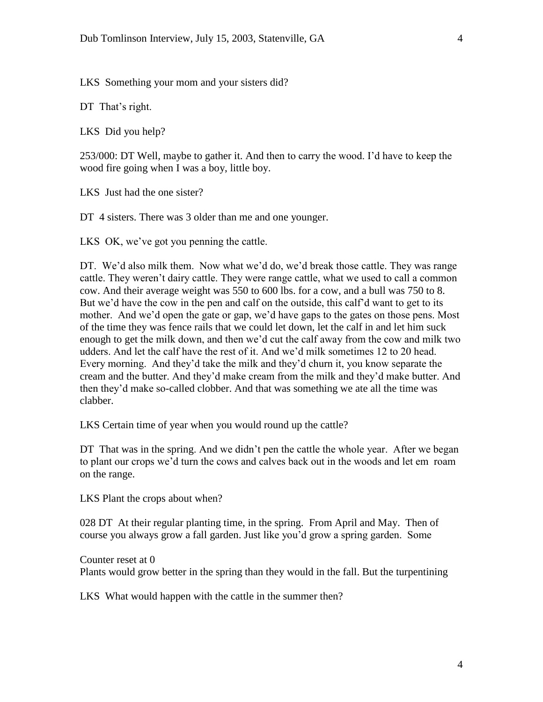LKS Something your mom and your sisters did?

DT That's right.

LKS Did you help?

253/000: DT Well, maybe to gather it. And then to carry the wood. I'd have to keep the wood fire going when I was a boy, little boy.

LKS Just had the one sister?

DT 4 sisters. There was 3 older than me and one younger.

LKS OK, we've got you penning the cattle.

DT. We'd also milk them. Now what we'd do, we'd break those cattle. They was range cattle. They weren't dairy cattle. They were range cattle, what we used to call a common cow. And their average weight was 550 to 600 lbs. for a cow, and a bull was 750 to 8. But we'd have the cow in the pen and calf on the outside, this calf'd want to get to its mother. And we'd open the gate or gap, we'd have gaps to the gates on those pens. Most of the time they was fence rails that we could let down, let the calf in and let him suck enough to get the milk down, and then we'd cut the calf away from the cow and milk two udders. And let the calf have the rest of it. And we'd milk sometimes 12 to 20 head. Every morning. And they'd take the milk and they'd churn it, you know separate the cream and the butter. And they'd make cream from the milk and they'd make butter. And then they'd make so-called clobber. And that was something we ate all the time was clabber.

LKS Certain time of year when you would round up the cattle?

DT That was in the spring. And we didn't pen the cattle the whole year. After we began to plant our crops we'd turn the cows and calves back out in the woods and let em roam on the range.

LKS Plant the crops about when?

028 DT At their regular planting time, in the spring. From April and May. Then of course you always grow a fall garden. Just like you'd grow a spring garden. Some

Counter reset at 0 Plants would grow better in the spring than they would in the fall. But the turpentining

LKS What would happen with the cattle in the summer then?

4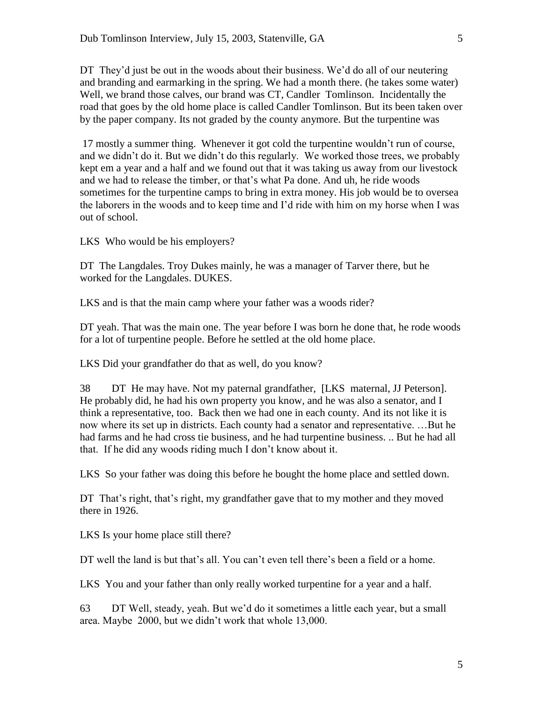DT They'd just be out in the woods about their business. We'd do all of our neutering and branding and earmarking in the spring. We had a month there. (he takes some water) Well, we brand those calves, our brand was CT, Candler Tomlinson. Incidentally the road that goes by the old home place is called Candler Tomlinson. But its been taken over by the paper company. Its not graded by the county anymore. But the turpentine was

17 mostly a summer thing. Whenever it got cold the turpentine wouldn't run of course, and we didn't do it. But we didn't do this regularly. We worked those trees, we probably kept em a year and a half and we found out that it was taking us away from our livestock and we had to release the timber, or that's what Pa done. And uh, he ride woods sometimes for the turpentine camps to bring in extra money. His job would be to oversea the laborers in the woods and to keep time and I'd ride with him on my horse when I was out of school.

LKS Who would be his employers?

DT The Langdales. Troy Dukes mainly, he was a manager of Tarver there, but he worked for the Langdales. DUKES.

LKS and is that the main camp where your father was a woods rider?

DT yeah. That was the main one. The year before I was born he done that, he rode woods for a lot of turpentine people. Before he settled at the old home place.

LKS Did your grandfather do that as well, do you know?

38 DT He may have. Not my paternal grandfather, [LKS maternal, JJ Peterson]. He probably did, he had his own property you know, and he was also a senator, and I think a representative, too. Back then we had one in each county. And its not like it is now where its set up in districts. Each county had a senator and representative. …But he had farms and he had cross tie business, and he had turpentine business. .. But he had all that. If he did any woods riding much I don't know about it.

LKS So your father was doing this before he bought the home place and settled down.

DT That's right, that's right, my grandfather gave that to my mother and they moved there in 1926.

LKS Is your home place still there?

DT well the land is but that's all. You can't even tell there's been a field or a home.

LKS You and your father than only really worked turpentine for a year and a half.

63 DT Well, steady, yeah. But we'd do it sometimes a little each year, but a small area. Maybe 2000, but we didn't work that whole 13,000.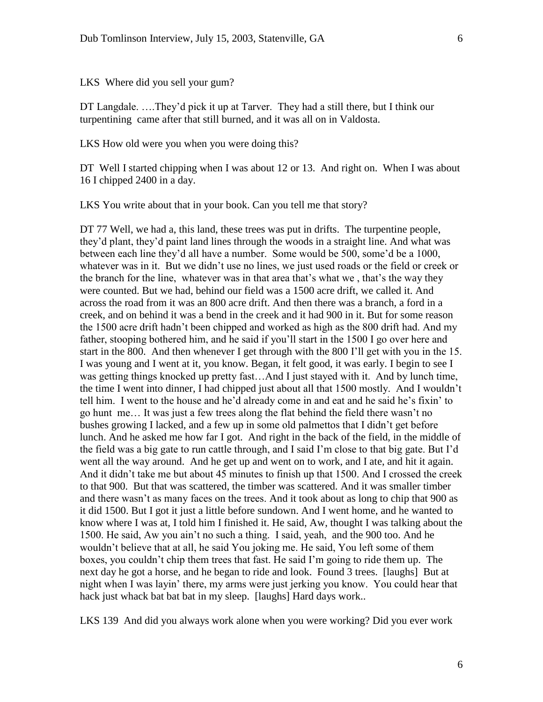LKS Where did you sell your gum?

DT Langdale. ….They'd pick it up at Tarver. They had a still there, but I think our turpentining came after that still burned, and it was all on in Valdosta.

LKS How old were you when you were doing this?

DT Well I started chipping when I was about 12 or 13. And right on. When I was about 16 I chipped 2400 in a day.

LKS You write about that in your book. Can you tell me that story?

DT 77 Well, we had a, this land, these trees was put in drifts. The turpentine people, they'd plant, they'd paint land lines through the woods in a straight line. And what was between each line they'd all have a number. Some would be 500, some'd be a 1000, whatever was in it. But we didn't use no lines, we just used roads or the field or creek or the branch for the line, whatever was in that area that's what we , that's the way they were counted. But we had, behind our field was a 1500 acre drift, we called it. And across the road from it was an 800 acre drift. And then there was a branch, a ford in a creek, and on behind it was a bend in the creek and it had 900 in it. But for some reason the 1500 acre drift hadn't been chipped and worked as high as the 800 drift had. And my father, stooping bothered him, and he said if you'll start in the 1500 I go over here and start in the 800. And then whenever I get through with the 800 I'll get with you in the 15. I was young and I went at it, you know. Began, it felt good, it was early. I begin to see I was getting things knocked up pretty fast…And I just stayed with it. And by lunch time, the time I went into dinner, I had chipped just about all that 1500 mostly. And I wouldn't tell him. I went to the house and he'd already come in and eat and he said he's fixin' to go hunt me… It was just a few trees along the flat behind the field there wasn't no bushes growing I lacked, and a few up in some old palmettos that I didn't get before lunch. And he asked me how far I got. And right in the back of the field, in the middle of the field was a big gate to run cattle through, and I said I'm close to that big gate. But I'd went all the way around. And he get up and went on to work, and I ate, and hit it again. And it didn't take me but about 45 minutes to finish up that 1500. And I crossed the creek to that 900. But that was scattered, the timber was scattered. And it was smaller timber and there wasn't as many faces on the trees. And it took about as long to chip that 900 as it did 1500. But I got it just a little before sundown. And I went home, and he wanted to know where I was at, I told him I finished it. He said, Aw, thought I was talking about the 1500. He said, Aw you ain't no such a thing. I said, yeah, and the 900 too. And he wouldn't believe that at all, he said You joking me. He said, You left some of them boxes, you couldn't chip them trees that fast. He said I'm going to ride them up. The next day he got a horse, and he began to ride and look. Found 3 trees. [laughs] But at night when I was layin' there, my arms were just jerking you know. You could hear that hack just whack bat bat bat in my sleep. [laughs] Hard days work..

LKS 139 And did you always work alone when you were working? Did you ever work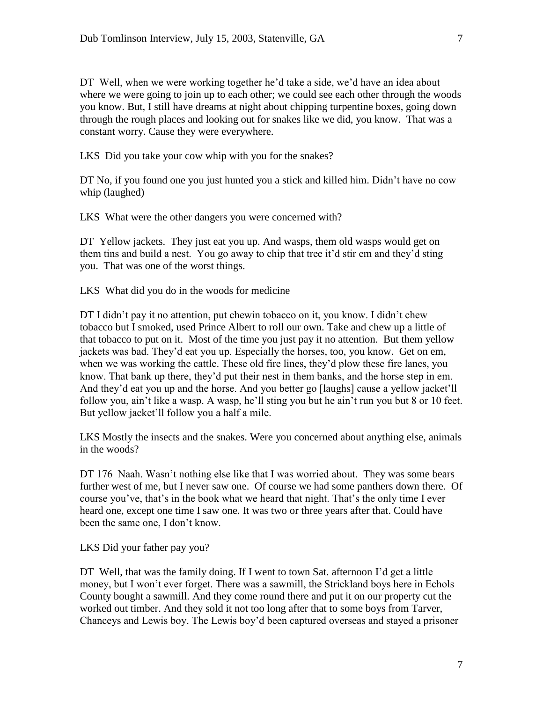DT Well, when we were working together he'd take a side, we'd have an idea about where we were going to join up to each other; we could see each other through the woods you know. But, I still have dreams at night about chipping turpentine boxes, going down through the rough places and looking out for snakes like we did, you know. That was a constant worry. Cause they were everywhere.

LKS Did you take your cow whip with you for the snakes?

DT No, if you found one you just hunted you a stick and killed him. Didn't have no cow whip (laughed)

LKS What were the other dangers you were concerned with?

DT Yellow jackets. They just eat you up. And wasps, them old wasps would get on them tins and build a nest. You go away to chip that tree it'd stir em and they'd sting you. That was one of the worst things.

LKS What did you do in the woods for medicine

DT I didn't pay it no attention, put chewin tobacco on it, you know. I didn't chew tobacco but I smoked, used Prince Albert to roll our own. Take and chew up a little of that tobacco to put on it. Most of the time you just pay it no attention. But them yellow jackets was bad. They'd eat you up. Especially the horses, too, you know. Get on em, when we was working the cattle. These old fire lines, they'd plow these fire lanes, you know. That bank up there, they'd put their nest in them banks, and the horse step in em. And they'd eat you up and the horse. And you better go [laughs] cause a yellow jacket'll follow you, ain't like a wasp. A wasp, he'll sting you but he ain't run you but 8 or 10 feet. But yellow jacket'll follow you a half a mile.

LKS Mostly the insects and the snakes. Were you concerned about anything else, animals in the woods?

DT 176 Naah. Wasn't nothing else like that I was worried about. They was some bears further west of me, but I never saw one. Of course we had some panthers down there. Of course you've, that's in the book what we heard that night. That's the only time I ever heard one, except one time I saw one. It was two or three years after that. Could have been the same one, I don't know.

LKS Did your father pay you?

DT Well, that was the family doing. If I went to town Sat. afternoon I'd get a little money, but I won't ever forget. There was a sawmill, the Strickland boys here in Echols County bought a sawmill. And they come round there and put it on our property cut the worked out timber. And they sold it not too long after that to some boys from Tarver, Chanceys and Lewis boy. The Lewis boy'd been captured overseas and stayed a prisoner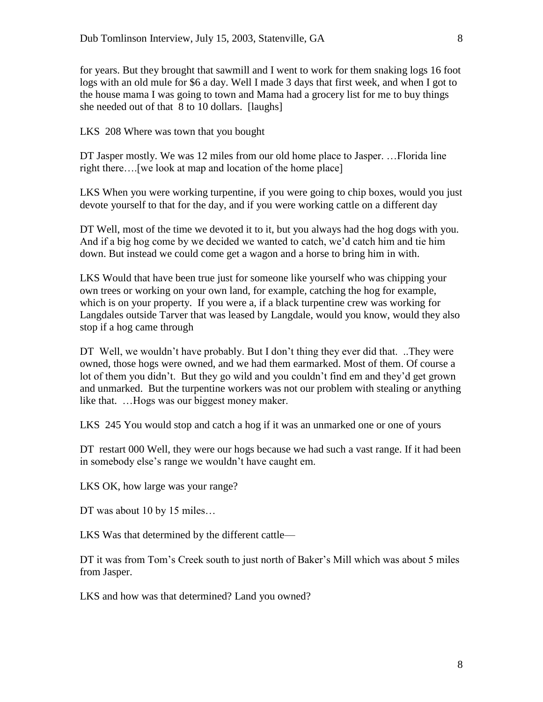for years. But they brought that sawmill and I went to work for them snaking logs 16 foot logs with an old mule for \$6 a day. Well I made 3 days that first week, and when I got to the house mama I was going to town and Mama had a grocery list for me to buy things she needed out of that 8 to 10 dollars. [laughs]

LKS 208 Where was town that you bought

DT Jasper mostly. We was 12 miles from our old home place to Jasper. …Florida line right there….[we look at map and location of the home place]

LKS When you were working turpentine, if you were going to chip boxes, would you just devote yourself to that for the day, and if you were working cattle on a different day

DT Well, most of the time we devoted it to it, but you always had the hog dogs with you. And if a big hog come by we decided we wanted to catch, we'd catch him and tie him down. But instead we could come get a wagon and a horse to bring him in with.

LKS Would that have been true just for someone like yourself who was chipping your own trees or working on your own land, for example, catching the hog for example, which is on your property. If you were a, if a black turpentine crew was working for Langdales outside Tarver that was leased by Langdale, would you know, would they also stop if a hog came through

DT Well, we wouldn't have probably. But I don't thing they ever did that. ..They were owned, those hogs were owned, and we had them earmarked. Most of them. Of course a lot of them you didn't. But they go wild and you couldn't find em and they'd get grown and unmarked. But the turpentine workers was not our problem with stealing or anything like that. …Hogs was our biggest money maker.

LKS 245 You would stop and catch a hog if it was an unmarked one or one of yours

DT restart 000 Well, they were our hogs because we had such a vast range. If it had been in somebody else's range we wouldn't have caught em.

LKS OK, how large was your range?

DT was about 10 by 15 miles...

LKS Was that determined by the different cattle—

DT it was from Tom's Creek south to just north of Baker's Mill which was about 5 miles from Jasper.

LKS and how was that determined? Land you owned?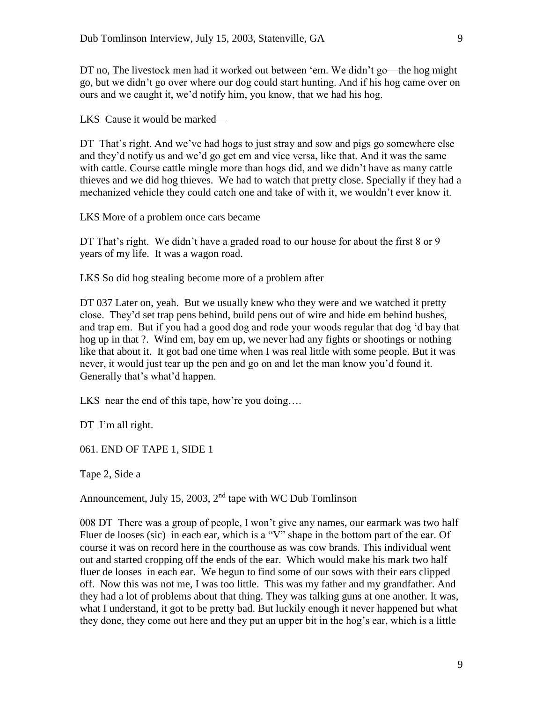DT no, The livestock men had it worked out between 'em. We didn't go—the hog might go, but we didn't go over where our dog could start hunting. And if his hog came over on ours and we caught it, we'd notify him, you know, that we had his hog.

LKS Cause it would be marked—

DT That's right. And we've had hogs to just stray and sow and pigs go somewhere else and they'd notify us and we'd go get em and vice versa, like that. And it was the same with cattle. Course cattle mingle more than hogs did, and we didn't have as many cattle thieves and we did hog thieves. We had to watch that pretty close. Specially if they had a mechanized vehicle they could catch one and take of with it, we wouldn't ever know it.

LKS More of a problem once cars became

DT That's right. We didn't have a graded road to our house for about the first 8 or 9 years of my life. It was a wagon road.

LKS So did hog stealing become more of a problem after

DT 037 Later on, yeah. But we usually knew who they were and we watched it pretty close. They'd set trap pens behind, build pens out of wire and hide em behind bushes, and trap em. But if you had a good dog and rode your woods regular that dog 'd bay that hog up in that ?. Wind em, bay em up, we never had any fights or shootings or nothing like that about it. It got bad one time when I was real little with some people. But it was never, it would just tear up the pen and go on and let the man know you'd found it. Generally that's what'd happen.

LKS near the end of this tape, how're you doing….

DT I'm all right.

061. END OF TAPE 1, SIDE 1

Tape 2, Side a

Announcement, July 15, 2003,  $2<sup>nd</sup>$  tape with WC Dub Tomlinson

008 DT There was a group of people, I won't give any names, our earmark was two half Fluer de looses (sic) in each ear, which is a "V" shape in the bottom part of the ear. Of course it was on record here in the courthouse as was cow brands. This individual went out and started cropping off the ends of the ear. Which would make his mark two half fluer de looses in each ear. We begun to find some of our sows with their ears clipped off. Now this was not me, I was too little. This was my father and my grandfather. And they had a lot of problems about that thing. They was talking guns at one another. It was, what I understand, it got to be pretty bad. But luckily enough it never happened but what they done, they come out here and they put an upper bit in the hog's ear, which is a little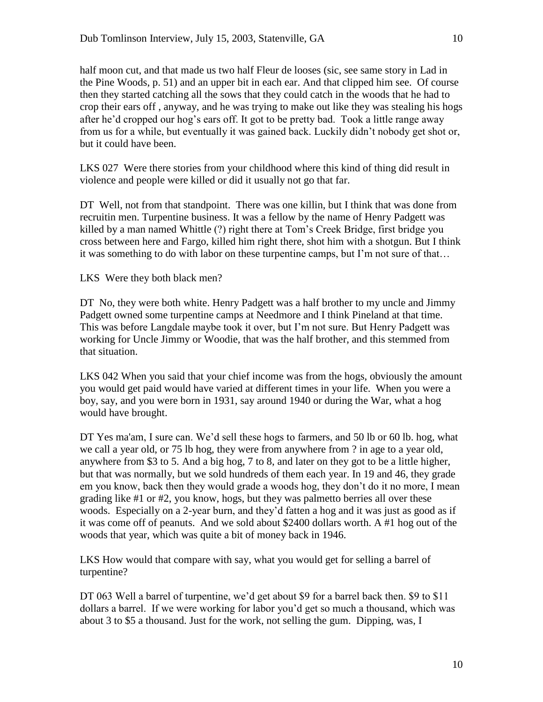half moon cut, and that made us two half Fleur de looses (sic, see same story in Lad in the Pine Woods, p. 51) and an upper bit in each ear. And that clipped him see. Of course then they started catching all the sows that they could catch in the woods that he had to crop their ears off , anyway, and he was trying to make out like they was stealing his hogs after he'd cropped our hog's ears off. It got to be pretty bad. Took a little range away from us for a while, but eventually it was gained back. Luckily didn't nobody get shot or, but it could have been.

LKS 027 Were there stories from your childhood where this kind of thing did result in violence and people were killed or did it usually not go that far.

DT Well, not from that standpoint. There was one killin, but I think that was done from recruitin men. Turpentine business. It was a fellow by the name of Henry Padgett was killed by a man named Whittle (?) right there at Tom's Creek Bridge, first bridge you cross between here and Fargo, killed him right there, shot him with a shotgun. But I think it was something to do with labor on these turpentine camps, but I'm not sure of that…

LKS Were they both black men?

DT No, they were both white. Henry Padgett was a half brother to my uncle and Jimmy Padgett owned some turpentine camps at Needmore and I think Pineland at that time. This was before Langdale maybe took it over, but I'm not sure. But Henry Padgett was working for Uncle Jimmy or Woodie, that was the half brother, and this stemmed from that situation.

LKS 042 When you said that your chief income was from the hogs, obviously the amount you would get paid would have varied at different times in your life. When you were a boy, say, and you were born in 1931, say around 1940 or during the War, what a hog would have brought.

DT Yes ma'am, I sure can. We'd sell these hogs to farmers, and 50 lb or 60 lb. hog, what we call a year old, or 75 lb hog, they were from anywhere from ? in age to a year old, anywhere from \$3 to 5. And a big hog, 7 to 8, and later on they got to be a little higher, but that was normally, but we sold hundreds of them each year. In 19 and 46, they grade em you know, back then they would grade a woods hog, they don't do it no more, I mean grading like #1 or #2, you know, hogs, but they was palmetto berries all over these woods. Especially on a 2-year burn, and they'd fatten a hog and it was just as good as if it was come off of peanuts. And we sold about \$2400 dollars worth. A #1 hog out of the woods that year, which was quite a bit of money back in 1946.

LKS How would that compare with say, what you would get for selling a barrel of turpentine?

DT 063 Well a barrel of turpentine, we'd get about \$9 for a barrel back then. \$9 to \$11 dollars a barrel. If we were working for labor you'd get so much a thousand, which was about 3 to \$5 a thousand. Just for the work, not selling the gum. Dipping, was, I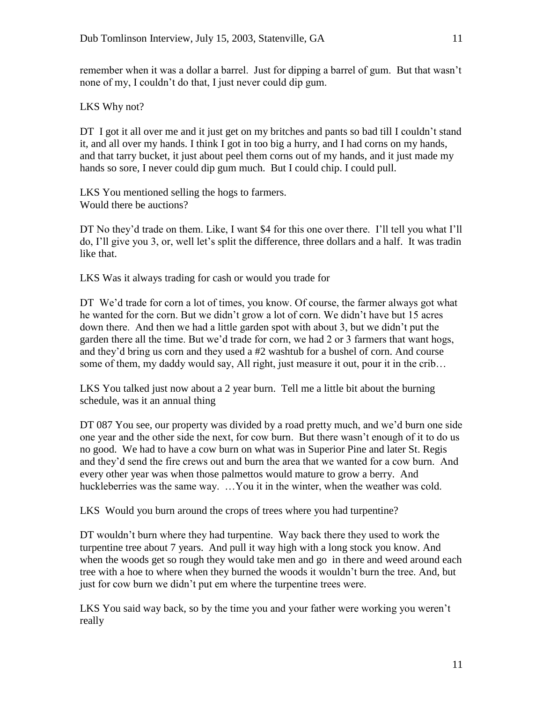remember when it was a dollar a barrel. Just for dipping a barrel of gum. But that wasn't none of my, I couldn't do that, I just never could dip gum.

LKS Why not?

DT I got it all over me and it just get on my britches and pants so bad till I couldn't stand it, and all over my hands. I think I got in too big a hurry, and I had corns on my hands, and that tarry bucket, it just about peel them corns out of my hands, and it just made my hands so sore, I never could dip gum much. But I could chip. I could pull.

LKS You mentioned selling the hogs to farmers. Would there be auctions?

DT No they'd trade on them. Like, I want \$4 for this one over there. I'll tell you what I'll do, I'll give you 3, or, well let's split the difference, three dollars and a half. It was tradin like that.

LKS Was it always trading for cash or would you trade for

DT We'd trade for corn a lot of times, you know. Of course, the farmer always got what he wanted for the corn. But we didn't grow a lot of corn. We didn't have but 15 acres down there. And then we had a little garden spot with about 3, but we didn't put the garden there all the time. But we'd trade for corn, we had 2 or 3 farmers that want hogs, and they'd bring us corn and they used a #2 washtub for a bushel of corn. And course some of them, my daddy would say, All right, just measure it out, pour it in the crib...

LKS You talked just now about a 2 year burn. Tell me a little bit about the burning schedule, was it an annual thing

DT 087 You see, our property was divided by a road pretty much, and we'd burn one side one year and the other side the next, for cow burn. But there wasn't enough of it to do us no good. We had to have a cow burn on what was in Superior Pine and later St. Regis and they'd send the fire crews out and burn the area that we wanted for a cow burn. And every other year was when those palmettos would mature to grow a berry. And huckleberries was the same way. …You it in the winter, when the weather was cold.

LKS Would you burn around the crops of trees where you had turpentine?

DT wouldn't burn where they had turpentine. Way back there they used to work the turpentine tree about 7 years. And pull it way high with a long stock you know. And when the woods get so rough they would take men and go in there and weed around each tree with a hoe to where when they burned the woods it wouldn't burn the tree. And, but just for cow burn we didn't put em where the turpentine trees were.

LKS You said way back, so by the time you and your father were working you weren't really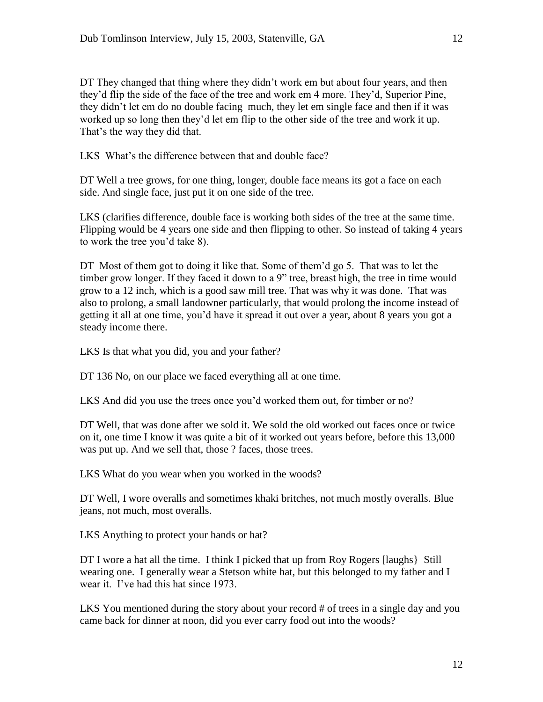DT They changed that thing where they didn't work em but about four years, and then they'd flip the side of the face of the tree and work em 4 more. They'd, Superior Pine, they didn't let em do no double facing much, they let em single face and then if it was worked up so long then they'd let em flip to the other side of the tree and work it up. That's the way they did that.

LKS What's the difference between that and double face?

DT Well a tree grows, for one thing, longer, double face means its got a face on each side. And single face, just put it on one side of the tree.

LKS (clarifies difference, double face is working both sides of the tree at the same time. Flipping would be 4 years one side and then flipping to other. So instead of taking 4 years to work the tree you'd take 8).

DT Most of them got to doing it like that. Some of them'd go 5. That was to let the timber grow longer. If they faced it down to a 9" tree, breast high, the tree in time would grow to a 12 inch, which is a good saw mill tree. That was why it was done. That was also to prolong, a small landowner particularly, that would prolong the income instead of getting it all at one time, you'd have it spread it out over a year, about 8 years you got a steady income there.

LKS Is that what you did, you and your father?

DT 136 No, on our place we faced everything all at one time.

LKS And did you use the trees once you'd worked them out, for timber or no?

DT Well, that was done after we sold it. We sold the old worked out faces once or twice on it, one time I know it was quite a bit of it worked out years before, before this 13,000 was put up. And we sell that, those ? faces, those trees.

LKS What do you wear when you worked in the woods?

DT Well, I wore overalls and sometimes khaki britches, not much mostly overalls. Blue jeans, not much, most overalls.

LKS Anything to protect your hands or hat?

DT I wore a hat all the time. I think I picked that up from Roy Rogers [laughs} Still wearing one. I generally wear a Stetson white hat, but this belonged to my father and I wear it. I've had this hat since 1973.

LKS You mentioned during the story about your record # of trees in a single day and you came back for dinner at noon, did you ever carry food out into the woods?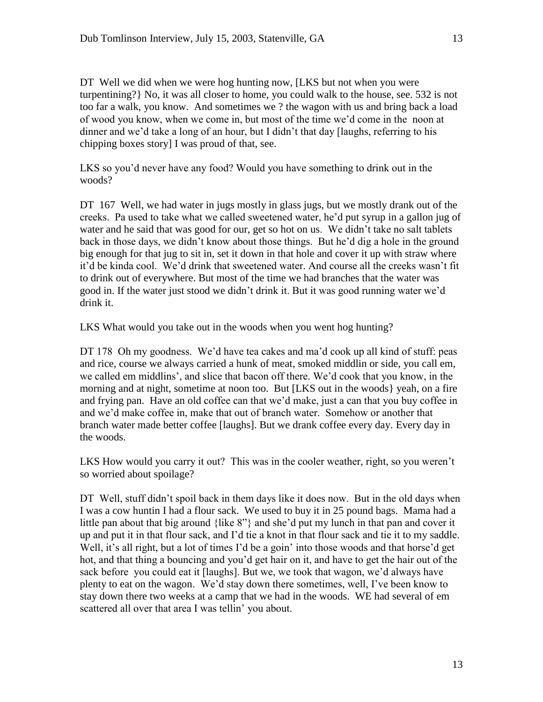DT Well we did when we were hog hunting now, [LKS but not when you were turpentining?} No, it was all closer to home, you could walk to the house, see. 532 is not too far a walk, you know. And sometimes we ? the wagon with us and bring back a load of wood you know, when we come in, but most of the time we'd come in the noon at dinner and we'd take a long of an hour, but I didn't that day [laughs, referring to his chipping boxes story] I was proud of that, see.

LKS so you'd never have any food? Would you have something to drink out in the woods?

DT 167 Well, we had water in jugs mostly in glass jugs, but we mostly drank out of the creeks. Pa used to take what we called sweetened water, he'd put syrup in a gallon jug of water and he said that was good for our, get so hot on us. We didn't take no salt tablets back in those days, we didn't know about those things. But he'd dig a hole in the ground big enough for that jug to sit in, set it down in that hole and cover it up with straw where it'd be kinda cool. We'd drink that sweetened water. And course all the creeks wasn't fit to drink out of everywhere. But most of the time we had branches that the water was good in. If the water just stood we didn't drink it. But it was good running water we'd drink it.

LKS What would you take out in the woods when you went hog hunting?

DT 178 Oh my goodness. We'd have tea cakes and ma'd cook up all kind of stuff: peas and rice, course we always carried a hunk of meat, smoked middlin or side, you call em, we called em middlins', and slice that bacon off there. We'd cook that you know, in the morning and at night, sometime at noon too. But [LKS out in the woods} yeah, on a fire and frying pan. Have an old coffee can that we'd make, just a can that you buy coffee in and we'd make coffee in, make that out of branch water. Somehow or another that branch water made better coffee [laughs]. But we drank coffee every day. Every day in the woods.

LKS How would you carry it out? This was in the cooler weather, right, so you weren't so worried about spoilage?

DT Well, stuff didn't spoil back in them days like it does now. But in the old days when I was a cow huntin I had a flour sack. We used to buy it in 25 pound bags. Mama had a little pan about that big around {like 8"} and she'd put my lunch in that pan and cover it up and put it in that flour sack, and I'd tie a knot in that flour sack and tie it to my saddle. Well, it's all right, but a lot of times I'd be a goin' into those woods and that horse'd get hot, and that thing a bouncing and you'd get hair on it, and have to get the hair out of the sack before you could eat it [laughs]. But we, we took that wagon, we'd always have plenty to eat on the wagon. We'd stay down there sometimes, well, I've been know to stay down there two weeks at a camp that we had in the woods. WE had several of em scattered all over that area I was tellin' you about.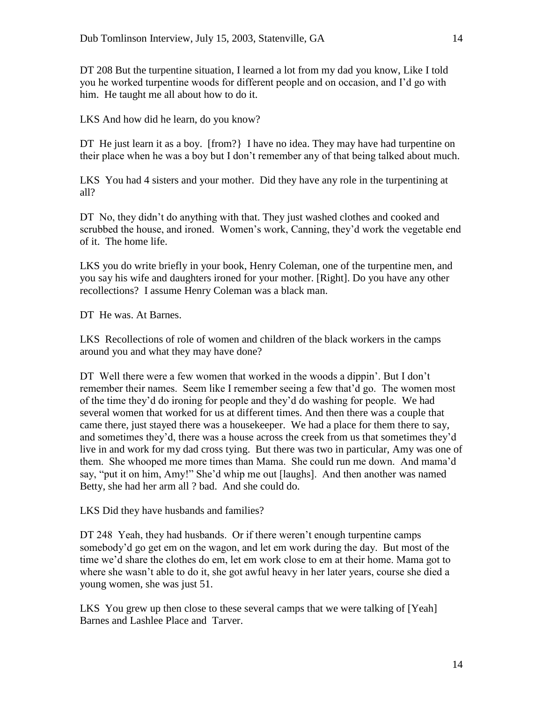DT 208 But the turpentine situation, I learned a lot from my dad you know, Like I told you he worked turpentine woods for different people and on occasion, and I'd go with him. He taught me all about how to do it.

LKS And how did he learn, do you know?

DT He just learn it as a boy. [from?] I have no idea. They may have had turpentine on their place when he was a boy but I don't remember any of that being talked about much.

LKS You had 4 sisters and your mother. Did they have any role in the turpentining at all?

DT No, they didn't do anything with that. They just washed clothes and cooked and scrubbed the house, and ironed. Women's work, Canning, they'd work the vegetable end of it. The home life.

LKS you do write briefly in your book, Henry Coleman, one of the turpentine men, and you say his wife and daughters ironed for your mother. [Right]. Do you have any other recollections? I assume Henry Coleman was a black man.

DT He was. At Barnes.

LKS Recollections of role of women and children of the black workers in the camps around you and what they may have done?

DT Well there were a few women that worked in the woods a dippin'. But I don't remember their names. Seem like I remember seeing a few that'd go. The women most of the time they'd do ironing for people and they'd do washing for people. We had several women that worked for us at different times. And then there was a couple that came there, just stayed there was a housekeeper. We had a place for them there to say, and sometimes they'd, there was a house across the creek from us that sometimes they'd live in and work for my dad cross tying. But there was two in particular, Amy was one of them. She whooped me more times than Mama. She could run me down. And mama'd say, "put it on him, Amy!" She'd whip me out [laughs]. And then another was named Betty, she had her arm all ? bad. And she could do.

LKS Did they have husbands and families?

DT 248 Yeah, they had husbands. Or if there weren't enough turpentine camps somebody'd go get em on the wagon, and let em work during the day. But most of the time we'd share the clothes do em, let em work close to em at their home. Mama got to where she wasn't able to do it, she got awful heavy in her later years, course she died a young women, she was just 51.

LKS You grew up then close to these several camps that we were talking of [Yeah] Barnes and Lashlee Place and Tarver.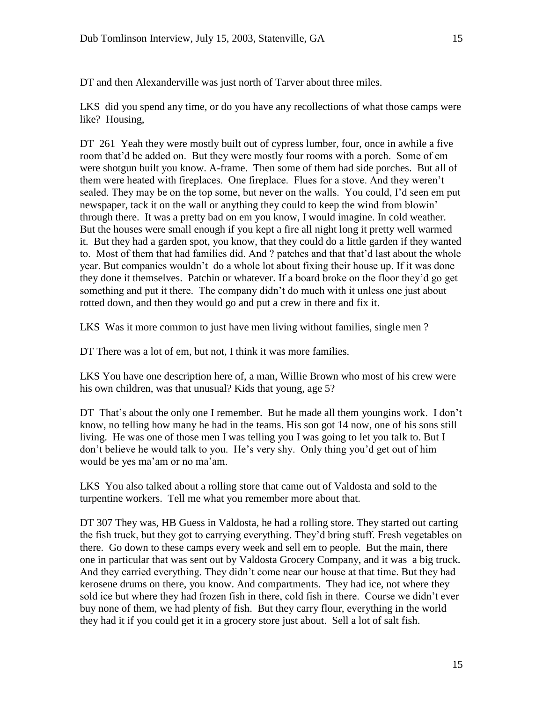DT and then Alexanderville was just north of Tarver about three miles.

LKS did you spend any time, or do you have any recollections of what those camps were like? Housing,

DT 261 Yeah they were mostly built out of cypress lumber, four, once in awhile a five room that'd be added on. But they were mostly four rooms with a porch. Some of em were shotgun built you know. A-frame. Then some of them had side porches. But all of them were heated with fireplaces. One fireplace. Flues for a stove. And they weren't sealed. They may be on the top some, but never on the walls. You could, I'd seen em put newspaper, tack it on the wall or anything they could to keep the wind from blowin' through there. It was a pretty bad on em you know, I would imagine. In cold weather. But the houses were small enough if you kept a fire all night long it pretty well warmed it. But they had a garden spot, you know, that they could do a little garden if they wanted to. Most of them that had families did. And ? patches and that that'd last about the whole year. But companies wouldn't do a whole lot about fixing their house up. If it was done they done it themselves. Patchin or whatever. If a board broke on the floor they'd go get something and put it there. The company didn't do much with it unless one just about rotted down, and then they would go and put a crew in there and fix it.

LKS Was it more common to just have men living without families, single men ?

DT There was a lot of em, but not, I think it was more families.

LKS You have one description here of, a man, Willie Brown who most of his crew were his own children, was that unusual? Kids that young, age 5?

DT That's about the only one I remember. But he made all them youngins work. I don't know, no telling how many he had in the teams. His son got 14 now, one of his sons still living. He was one of those men I was telling you I was going to let you talk to. But I don't believe he would talk to you. He's very shy. Only thing you'd get out of him would be yes ma'am or no ma'am.

LKS You also talked about a rolling store that came out of Valdosta and sold to the turpentine workers. Tell me what you remember more about that.

DT 307 They was, HB Guess in Valdosta, he had a rolling store. They started out carting the fish truck, but they got to carrying everything. They'd bring stuff. Fresh vegetables on there. Go down to these camps every week and sell em to people. But the main, there one in particular that was sent out by Valdosta Grocery Company, and it was a big truck. And they carried everything. They didn't come near our house at that time. But they had kerosene drums on there, you know. And compartments. They had ice, not where they sold ice but where they had frozen fish in there, cold fish in there. Course we didn't ever buy none of them, we had plenty of fish. But they carry flour, everything in the world they had it if you could get it in a grocery store just about. Sell a lot of salt fish.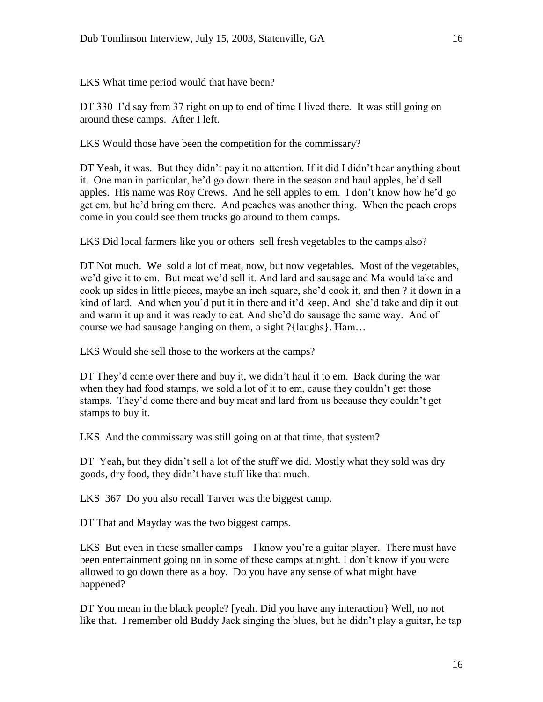LKS What time period would that have been?

DT 330 I'd say from 37 right on up to end of time I lived there. It was still going on around these camps. After I left.

LKS Would those have been the competition for the commissary?

DT Yeah, it was. But they didn't pay it no attention. If it did I didn't hear anything about it. One man in particular, he'd go down there in the season and haul apples, he'd sell apples. His name was Roy Crews. And he sell apples to em. I don't know how he'd go get em, but he'd bring em there. And peaches was another thing. When the peach crops come in you could see them trucks go around to them camps.

LKS Did local farmers like you or others sell fresh vegetables to the camps also?

DT Not much. We sold a lot of meat, now, but now vegetables. Most of the vegetables, we'd give it to em. But meat we'd sell it. And lard and sausage and Ma would take and cook up sides in little pieces, maybe an inch square, she'd cook it, and then ? it down in a kind of lard. And when you'd put it in there and it'd keep. And she'd take and dip it out and warm it up and it was ready to eat. And she'd do sausage the same way. And of course we had sausage hanging on them, a sight ?{laughs}. Ham…

LKS Would she sell those to the workers at the camps?

DT They'd come over there and buy it, we didn't haul it to em. Back during the war when they had food stamps, we sold a lot of it to em, cause they couldn't get those stamps. They'd come there and buy meat and lard from us because they couldn't get stamps to buy it.

LKS And the commissary was still going on at that time, that system?

DT Yeah, but they didn't sell a lot of the stuff we did. Mostly what they sold was dry goods, dry food, they didn't have stuff like that much.

LKS 367 Do you also recall Tarver was the biggest camp.

DT That and Mayday was the two biggest camps.

LKS But even in these smaller camps—I know you're a guitar player. There must have been entertainment going on in some of these camps at night. I don't know if you were allowed to go down there as a boy. Do you have any sense of what might have happened?

DT You mean in the black people? [yeah. Did you have any interaction} Well, no not like that. I remember old Buddy Jack singing the blues, but he didn't play a guitar, he tap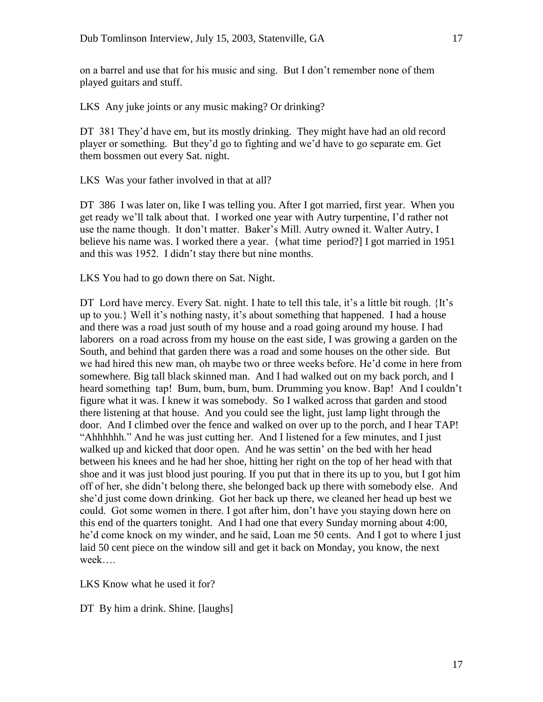on a barrel and use that for his music and sing. But I don't remember none of them played guitars and stuff.

LKS Any juke joints or any music making? Or drinking?

DT 381 They'd have em, but its mostly drinking. They might have had an old record player or something. But they'd go to fighting and we'd have to go separate em. Get them bossmen out every Sat. night.

LKS Was your father involved in that at all?

DT 386 I was later on, like I was telling you. After I got married, first year. When you get ready we'll talk about that. I worked one year with Autry turpentine, I'd rather not use the name though. It don't matter. Baker's Mill. Autry owned it. Walter Autry, I believe his name was. I worked there a year. {what time period?] I got married in 1951 and this was 1952. I didn't stay there but nine months.

LKS You had to go down there on Sat. Night.

DT Lord have mercy. Every Sat. night. I hate to tell this tale, it's a little bit rough. {It's up to you.} Well it's nothing nasty, it's about something that happened. I had a house and there was a road just south of my house and a road going around my house. I had laborers on a road across from my house on the east side, I was growing a garden on the South, and behind that garden there was a road and some houses on the other side. But we had hired this new man, oh maybe two or three weeks before. He'd come in here from somewhere. Big tall black skinned man. And I had walked out on my back porch, and I heard something tap! Bum, bum, bum, bum. Drumming you know. Bap! And I couldn't figure what it was. I knew it was somebody. So I walked across that garden and stood there listening at that house. And you could see the light, just lamp light through the door. And I climbed over the fence and walked on over up to the porch, and I hear TAP! "Ahhhhhh." And he was just cutting her. And I listened for a few minutes, and I just walked up and kicked that door open. And he was settin' on the bed with her head between his knees and he had her shoe, hitting her right on the top of her head with that shoe and it was just blood just pouring. If you put that in there its up to you, but I got him off of her, she didn't belong there, she belonged back up there with somebody else. And she'd just come down drinking. Got her back up there, we cleaned her head up best we could. Got some women in there. I got after him, don't have you staying down here on this end of the quarters tonight. And I had one that every Sunday morning about 4:00, he'd come knock on my winder, and he said, Loan me 50 cents. And I got to where I just laid 50 cent piece on the window sill and get it back on Monday, you know, the next week….

LKS Know what he used it for?

DT By him a drink. Shine. [laughs]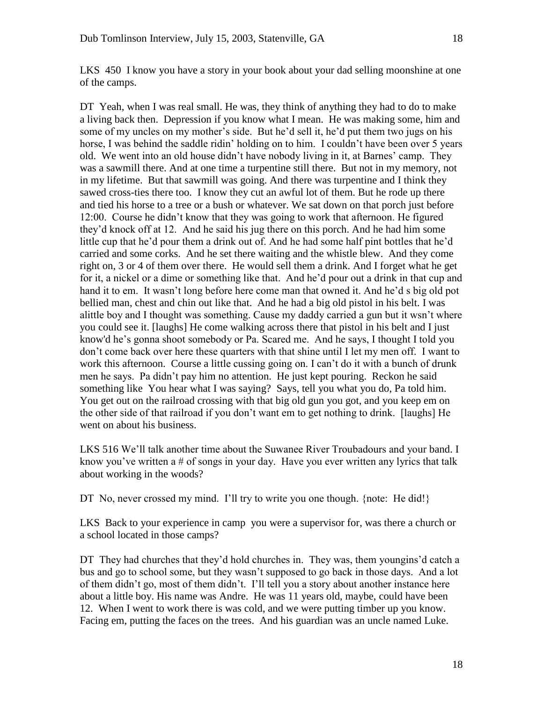LKS 450 I know you have a story in your book about your dad selling moonshine at one of the camps.

DT Yeah, when I was real small. He was, they think of anything they had to do to make a living back then. Depression if you know what I mean. He was making some, him and some of my uncles on my mother's side. But he'd sell it, he'd put them two jugs on his horse, I was behind the saddle ridin' holding on to him. I couldn't have been over 5 years old. We went into an old house didn't have nobody living in it, at Barnes' camp. They was a sawmill there. And at one time a turpentine still there. But not in my memory, not in my lifetime. But that sawmill was going. And there was turpentine and I think they sawed cross-ties there too. I know they cut an awful lot of them. But he rode up there and tied his horse to a tree or a bush or whatever. We sat down on that porch just before 12:00. Course he didn't know that they was going to work that afternoon. He figured they'd knock off at 12. And he said his jug there on this porch. And he had him some little cup that he'd pour them a drink out of. And he had some half pint bottles that he'd carried and some corks. And he set there waiting and the whistle blew. And they come right on, 3 or 4 of them over there. He would sell them a drink. And I forget what he get for it, a nickel or a dime or something like that. And he'd pour out a drink in that cup and hand it to em. It wasn't long before here come man that owned it. And he'd s big old pot bellied man, chest and chin out like that. And he had a big old pistol in his belt. I was alittle boy and I thought was something. Cause my daddy carried a gun but it wsn't where you could see it. [laughs] He come walking across there that pistol in his belt and I just know'd he's gonna shoot somebody or Pa. Scared me. And he says, I thought I told you don't come back over here these quarters with that shine until I let my men off. I want to work this afternoon. Course a little cussing going on. I can't do it with a bunch of drunk men he says. Pa didn't pay him no attention. He just kept pouring. Reckon he said something like You hear what I was saying? Says, tell you what you do, Pa told him. You get out on the railroad crossing with that big old gun you got, and you keep em on the other side of that railroad if you don't want em to get nothing to drink. [laughs] He went on about his business.

LKS 516 We'll talk another time about the Suwanee River Troubadours and your band. I know you've written a # of songs in your day. Have you ever written any lyrics that talk about working in the woods?

DT No, never crossed my mind. I'll try to write you one though. {note: He did!}

LKS Back to your experience in camp you were a supervisor for, was there a church or a school located in those camps?

DT They had churches that they'd hold churches in. They was, them youngins'd catch a bus and go to school some, but they wasn't supposed to go back in those days. And a lot of them didn't go, most of them didn't. I'll tell you a story about another instance here about a little boy. His name was Andre. He was 11 years old, maybe, could have been 12. When I went to work there is was cold, and we were putting timber up you know. Facing em, putting the faces on the trees. And his guardian was an uncle named Luke.